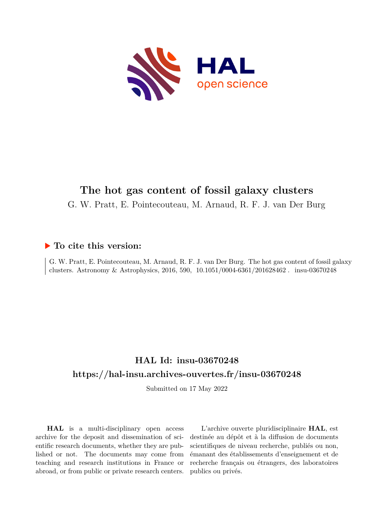

# **The hot gas content of fossil galaxy clusters**

G. W. Pratt, E. Pointecouteau, M. Arnaud, R. F. J. van Der Burg

## **To cite this version:**

G. W. Pratt, E. Pointecouteau, M. Arnaud, R. F. J. van Der Burg. The hot gas content of fossil galaxy clusters. Astronomy & Astrophysics, 2016, 590,  $10.1051/0004-6361/201628462$ . insu-03670248

# **HAL Id: insu-03670248 <https://hal-insu.archives-ouvertes.fr/insu-03670248>**

Submitted on 17 May 2022

**HAL** is a multi-disciplinary open access archive for the deposit and dissemination of scientific research documents, whether they are published or not. The documents may come from teaching and research institutions in France or abroad, or from public or private research centers.

L'archive ouverte pluridisciplinaire **HAL**, est destinée au dépôt et à la diffusion de documents scientifiques de niveau recherche, publiés ou non, émanant des établissements d'enseignement et de recherche français ou étrangers, des laboratoires publics ou privés.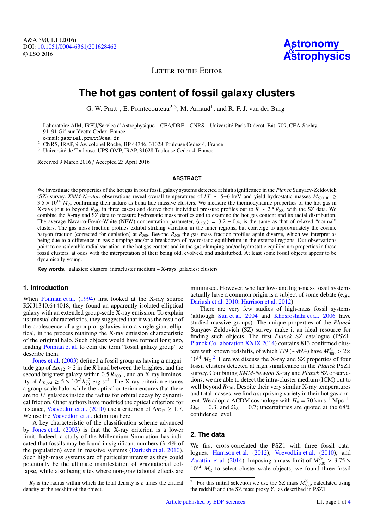

LETTER TO THE EDITOR

## **The hot gas content of fossil galaxy clusters**

G. W. Pratt<sup>1</sup>, E. Pointecouteau<sup>2, 3</sup>, M. Arnaud<sup>1</sup>, and R. F. J. van der Burg<sup>1</sup>

<sup>1</sup> Laboratoire AIM, IRFU/Service d'Astrophysique – CEA/DRF – CNRS – Université Paris Diderot, Bât. 709, CEA-Saclay, 91191 Gif-sur-Yvette Cedex, France

e-mail: gabriel.pratt@cea.fr

<sup>2</sup> CNRS, IRAP, 9 Av. colonel Roche, BP 44346, 31028 Toulouse Cedex 4, France

<sup>3</sup> Université de Toulouse, UPS-OMP, IRAP, 31028 Toulouse Cedex 4, France

Received 9 March 2016 / Accepted 23 April 2016

### **ABSTRACT**

We investigate the properties of the hot gas in four fossil galaxy systems detected at high significance in the *Planck* Sunyaev-Zeldovich (SZ) survey. *XMM-Newton* observations reveal overall temperatures of *kT* <sup>∼</sup> <sup>5</sup>−6 keV and yield hydrostatic masses *<sup>M</sup>*<sup>500</sup>,HE &  $3.5 \times 10^{14}$   $M_{\odot}$ , confirming their nature as bona fide massive clusters. We measure the thermodynamic properties of the hot gas in X-rays (out to beyond *<sup>R</sup>*<sup>500</sup> in three cases) and derive their individual pressure profiles out to *<sup>R</sup>* <sup>∼</sup> <sup>2</sup>.<sup>5</sup> *<sup>R</sup>*<sup>500</sup> with the SZ data. We combine the X-ray and SZ data to measure hydrostatic mass profiles and to examine the hot gas content and its radial distribution. The average Navarro-Frenk-White (NFW) concentration parameter,  $\langle c_{500} \rangle$  = 3.2 ± 0.4, is the same as that of relaxed "normal" clusters. The gas mass fraction profiles exhibit striking variation in the inner regions, but converge to approximately the cosmic baryon fraction (corrected for depletion) at  $R_{500}$ . Beyond  $R_{500}$  the gas mass fraction profiles again diverge, which we interpret as being due to a difference in gas clumping and/or a breakdown of hydrostatic equilibrium in the external regions. Our observations point to considerable radial variation in the hot gas content and in the gas clumping and/or hydrostatic equilibrium properties in these fossil clusters, at odds with the interpretation of their being old, evolved, and undisturbed. At least some fossil objects appear to be dynamically young.

**Key words.** galaxies: clusters: intracluster medium – X-rays: galaxies: clusters

## **1. Introduction**

When Ponman et al. (1994) first looked at the X-ray source RX J1340.6+4018, they found an apparently isolated elliptical galaxy with an extended group-scale X-ray emission. To explain its unusual characteristics, they suggested that it was the result of the coalescence of a group of galaxies into a single giant elliptical, in the process retaining the X-ray emission characteristic of the original halo. Such objects would have formed long ago, leading Ponman et al. to coin the term "fossil galaxy group" to describe them.

Jones et al. (2003) defined a fossil group as having a magnitude gap of  $\Delta m_{12} \geq 2$  in the *R* band between the brightest and the second brightest galaxy within  $0.5 R_{200}^{-1}$ , and an X-ray luminos-<br>ity of  $I_{\text{X-h-1}} > 5 \times 10^{41} h^{-2}$  erg s<sup>-1</sup>. The X-ray criterion ensures ity of  $L_{X,\text{bol}} \ge 5 \times 10^{41} h_{70}^{-2}$  erg s<sup>-1</sup>. The X-ray criterion ensures a group-scale halo, while the optical criterion ensures that there are no *L* <sup>∗</sup> galaxies inside the radius for orbital decay by dynamical friction. Other authors have modified the optical criterion; for instance, Voevodkin et al. (2010) use a criterion of  $\Delta m_{12} \ge 1.7$ . We use the Voevodkin et al. definition here.

A key characteristic of the classification scheme advanced by Jones et al. (2003) is that the X-ray criterion is a lower limit. Indeed, a study of the Millennium Simulation has indicated that fossils may be found in significant numbers (3–4% of the population) even in massive systems (Dariush et al. 2010). Such high-mass systems are of particular interest as they could potentially be the ultimate manifestation of gravitational collapse, while also being sites where non-gravitational effects are minimised. However, whether low- and high-mass fossil systems actually have a common origin is a subject of some debate (e.g., Dariush et al. 2010; Harrison et al. 2012).

There are very few studies of high-mass fossil systems (although Sun et al. 2004 and Khosroshahi et al. 2006 have studied massive groups). The unique properties of the *Planck* Sunyaev-Zeldovich (SZ) survey make it an ideal resource for finding such objects. The first *Planck* SZ catalogue (PSZ1, Planck Collaboration XXIX 2014) contains 813 confirmed clusters with known redshifts, of which 779 (∼96%) have  $M_{\rm 20}^{Y_z} > 2 \times 10^{14}$  *M*<sup>2</sup><sup>2</sup>. Here we discuss the *Y* rev and *SZ* preperties of four  $10^{14}$   $M_{\odot}$ <sup>2</sup>. Here we discuss the X-ray and SZ properties of four fossil clusters detected at high significance in the *Planck* PSZ1 survey. Combining *XMM-Newton* X-ray and *Planck* SZ observations, we are able to detect the intra-cluster medium (ICM) out to well beyond  $R_{500}$ . Despite their very similar X-ray temperatures and total masses, we find a surprising variety in their hot gas content. We adopt a  $\Lambda$ CDM cosmology with  $H_0 = 70 \text{ km s}^{-1} \text{ Mpc}^{-1}$ ,  $\Omega_{\rm M}$  = 0.3, and  $\Omega_{\Lambda}$  = 0.7; uncertainties are quoted at the 68% confidence level.

## **2. The data**

We first cross-correlated the PSZ1 with three fossil catalogues: Harrison et al. (2012), Voevodkin et al. (2010), and Zarattini et al. (2014). Imposing a mass limit of  $M_{50}^{Y_z} > 3.75 \times 10^{14}$  *M* to select cluster scale chiects, we found three fossil  $10^{14}$   $M_{\odot}$  to select cluster-scale objects, we found three fossil

 $R_{\delta}$  is the radius within which the total density is  $\delta$  times the critical density at the redshift of the object.

<sup>&</sup>lt;sup>2</sup> For this initial selection we use the SZ mass  $M_{500}^{Y_z}$ , calculated using the redshift and the SZ mass proxy  $Y_z$ , as described in PSZ1.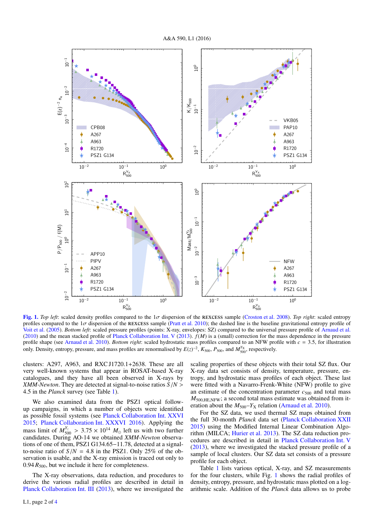A&A 590, L1 (2016)



[Fig. 1.](http://dexter.edpsciences.org/applet.php?DOI=10.1051/0004-6361/201628462&pdf_id=1) *Top left*: scaled density profiles compared to the  $1\sigma$  dispersion of the REXCESS sample (Croston et al. 2008). *Top right*: scaled entropy profiles compared to the  $1\sigma$  dispersion of the REXCESS sample (Pratt et al. 2010); the dashed line is the baseline gravitational entropy profile of Voit et al. (2005). *Bottom left*: scaled pressure profiles (points: X-ray, envelopes: SZ) compared to the universal pressure profile of Arnaud et al. (2010) and the mean stacked profile of Planck Collaboration Int. V (2013).  $f(M)$  is a (small) correction for the mass dependence in the pressure profile shape (see Arnaud et al. 2010). *Bottom right*: scaled hydrostatic mass profiles compared to an NFW profile with *<sup>c</sup>* <sup>=</sup> <sup>3</sup>.5, for illustration only. Density, entropy, pressure, and mass profiles are renormalised by  $E(z)^{-2}$ ,  $K_{500}$ ,  $P_{500}$ , and  $M_{500}^{Y_X}$ , respectively.

clusters: A297, A963, and RXC J1720.1+2638. These are all very well-known systems that appear in ROSAT-based X-ray catalogues, and they have all been observed in X-rays by *XMM-Newton*. They are detected at signal-to-noise ratios *<sup>S</sup>*/*<sup>N</sup>* > <sup>4</sup>.5 in the *Planck* survey (see Table 1).

We also examined data from the PSZ1 optical followup campaigns, in which a number of objects were identified as possible fossil systems (see Planck Collaboration Int. XXVI 2015; Planck Collaboration Int. XXXVI 2016). Applying the mass limit of  $M_{500}^{Y_z} > 3.75 \times 10^{14} M_{\odot}$  left us with two further candidates During AO-14 we obtained *XMM-Newton* observacandidates. During AO-14 we obtained *XMM-Newton* observations of one of them, PSZ1 G134.65−11.78, detected at a signalto-noise ratio of  $S/N = 4.8$  in the PSZ1. Only 25% of the observation is usable, and the X-ray emission is traced out only to  $0.94 R_{500}$ , but we include it here for completeness.

The X-ray observations, data reduction, and procedures to derive the various radial profiles are described in detail in Planck Collaboration Int. III (2013), where we investigated the

scaling properties of these objects with their total SZ flux. Our X-ray data set consists of density, temperature, pressure, entropy, and hydrostatic mass profiles of each object. These last were fitted with a Navarro-Frenk-White (NFW) profile to give an estimate of the concentration parameter  $c_{500}$  and total mass  $M_{500\text{ HE NFW}}$ ; a second total mass estimate was obtained from iteration about the  $M_{500} - Y_X$  relation (Arnaud et al. 2010).

For the SZ data, we used thermal SZ maps obtained from the full 30-month *Planck* data set (Planck Collaboration XXII 2015) using the Modified Internal Linear Combination Algorithm (MILCA; Hurier et al. 2013). The SZ data reduction procedures are described in detail in Planck Collaboration Int. V (2013), where we investigated the stacked pressure profile of a sample of local clusters. Our SZ data set consists of a pressure profile for each object.

Table 1 lists various optical, X-ray, and SZ measurements for the four clusters, while Fig. 1 shows the radial profiles of density, entropy, pressure, and hydrostatic mass plotted on a logarithmic scale. Addition of the *Planck* data allows us to probe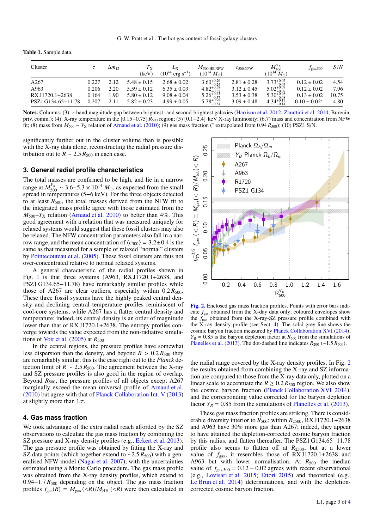|  |  | <b>Table 1.</b> Sample data. |  |  |
|--|--|------------------------------|--|--|
|--|--|------------------------------|--|--|

| Cluster            |       | $\Delta m_{12}$ | $T_{\rm X}$<br>(keV) | $10^{44}$<br>$erg s^{-1}$ | $M_{500 \rm ,HE,NFW}$<br>$(10^{14} M_{\odot})$                                                            | $c_{500 \text{ NFW}}$ | $M_{500}^{\text{Y}_{\text{X}}}$<br>$M_{\odot}$<br>$(10^{14}$                                             | $J_{\rm gas,500}$ | S/N   |
|--------------------|-------|-----------------|----------------------|---------------------------|-----------------------------------------------------------------------------------------------------------|-----------------------|----------------------------------------------------------------------------------------------------------|-------------------|-------|
| A267               | 0.227 | 2.12            | $5.48 \pm 0.15$      | $2.68 \pm 0.02$           |                                                                                                           | $2.81 \pm 0.28$       |                                                                                                          | $0.12 \pm 0.02$   | 4.54  |
| A963               | 0.206 | 2.20            | $5.59 \pm 0.12$      | $6.35 \pm 0.03$           |                                                                                                           | $3.12 \pm 0.45$       |                                                                                                          | $0.12 \pm 0.02$   | 7.96  |
| RX J1720.1+2638    | 0.164 | .90             | $5.80 \pm 0.12$      | $9.08 \pm 0.04$           |                                                                                                           | $3.53 \pm 0.38$       |                                                                                                          | $0.13 \pm 0.02$   | 10.75 |
| PSZ1 G134.65-11.78 | 0.207 | 2.11            | $5.82 \pm 0.23$      | $4.99 \pm 0.05$           | $\substack{3.60^{+0.26}_{-0.24} \\ 4.82^{+0.58}_{-0.52} \\ 5.26^{+0.63}_{-0.57} \\ 5.78^{+0.98}_{-0.84}}$ | $3.09 \pm 0.48$       | $\substack{3.73^{+0.07}_{-0.07} \\ 5.02^{+0.07}_{-0.07} \\ 5.30^{+0.08}_{-0.08} \\ 4.34^{+0.17}_{-0.14}$ | $0.10 \pm 0.02^*$ | 4.80  |

Notes. Columns: (3): *r*-band magnitude gap between brightest- and second-brightest galaxies (Harrison et al. 2012; Zarattini et al. 2014, Burenin, priv. comm.); (4): X-ray temperature in the [0.15−0.75] *<sup>R</sup>*<sup>500</sup> region; (5) [0.1−2.4] keV X-ray luminosity; (6,7) mass and concentration from NFW fit; (8) mass from *M*<sub>500</sub> − *Y*<sub>X</sub> relation of Arnaud et al. (2010); (9) gas mass fraction (\* extrapolated from 0.94 *R*<sub>500</sub>); (10) PSZ1 S/N.

significantly further out in the cluster volume than is possible with the X-ray data alone, reconstructing the radial pressure distribution out to  $R \sim 2.5 R_{500}$  in each case.

### **3. General radial profile characteristics**

The total masses are confirmed to be high, and lie in a narrow range at  $M_{500}^{Y_X} \sim 3.6 - 5.3 \times 10^{14} M_{\odot}$ , as expected from the small<br>spread in temperatures (5–6 keV). For the three objects detected spread in temperatures (5−6 keV). For the three objects detected to at least  $R_{500}$ , the total masses derived from the NFW fit to the integrated mass profile agree with those estimated from the  $M_{500}$ – $Y_{\text{X}}$  relation (Arnaud et al. 2010) to better than 4%. This good agreement with a relation that was measured uniquely for relaxed systems would suggest that these fossil clusters may also be relaxed. The NFW concentration parameters also fall in a narrow range, and the mean concentration of  $\langle c_{500} \rangle = 3.2 \pm 0.4$  is the same as that measured for a sample of relaxed "normal" clusters by Pointecouteau et al. (2005). These fossil clusters are thus not over-concentrated relative to normal relaxed systems.

A general characteristic of the radial profiles shown in Fig. 1 is that three systems (A963, RX J $\overline{1720.1+2638}$ , and PSZ1 G134.65−11.78) have remarkably similar profiles while those of A267 are clear outliers, especially within  $0.2 R_{500}$ . These three fossil systems have the highly peaked central density and declining central temperature profiles reminiscent of cool-core systems, while A267 has a flatter central density and temperature; indeed, its central density is an order of magnitude lower than that of RX J1720.1+2638. The entropy profiles converge towards the value expected from the non-radiative simulations of Voit et al.  $(2005)$  at  $R_{500}$ .

In the central regions, the pressure profiles have somewhat less dispersion than the density, and beyond  $R > 0.2 R_{500}$  they are remarkably similar; this is the case right out to the *Planck* detection limit of  $R \sim 2.5 R_{500}$ . The agreement between the X-ray and SZ pressure profiles is also good in the region of overlap. Beyond  $R_{500}$ , the pressure profiles of all objects except A267 marginally exceed the mean universal profile of Arnaud et al. (2010) but agree with that of Planck Collaboration Int. V (2013) at slightly more than  $1\sigma$ .

### **4. Gas mass fraction**

We took advantage of the extra radial reach afforded by the SZ observations to calculate the gas mass fraction by combining the SZ pressure and X-ray density profiles (e.g., Eckert et al. 2013). The gas pressure profile was obtained by fitting the X-ray and SZ data points (which together extend to ~2.5  $R_{500}$ ) with a generalised NFW model (Nagai et al. 2007), with the uncertainties estimated using a Monte Carlo procedure. The gas mass profile was obtained from the X-ray density profiles, which extend to 0.94−1.7 *R*<sub>500</sub> depending on the object. The gas mass fraction profiles  $f_{\text{gas}}(R) = M_{\text{gas}}(\langle R \rangle) / M_{\text{HE}}(\langle R \rangle)$  were then calculated in



[Fig. 2.](http://dexter.edpsciences.org/applet.php?DOI=10.1051/0004-6361/201628462&pdf_id=2) Enclosed gas mass fraction profiles. Points with error bars indicate  $f_{\text{gas}}$  obtained from the X-day data only; coloured envelopes show the *f*gas obtained from the X-ray-SZ pressure profile combined with the X-ray density profile (see Sect. 4). The solid grey line shows the cosmic baryon fraction measured by Planck Collaboration XVI (2014);  $Y_{\rm B} = 0.85$  is the baryon depletion factor at  $R_{500}$  from the simulations of Planelles et al. (2013). The dot-dashed line indicates  $R_{200}$  (∼1.5  $R_{500}$ ).

the radial range covered by the X-ray density profiles. In Fig. 2 the results obtained from combining the X-ray and SZ information are compared to those from the X-ray data only, plotted on a linear scale to accentuate the  $R \ge 0.2 R_{500}$  region. We also show the cosmic baryon fraction (Planck Collaboration XVI 2014), and the corresponding value corrected for the baryon depletion factor  $Y_B = 0.85$  from the simulations of Planelles et al. (2013).

These gas mass fraction profiles are striking. There is considerable diversity interior to  $R_{500}$ ; within  $R_{2500}$ , RX J1720.1+2638 and A963 have 30% more gas than A267; indeed, they appear to have attained the depletion-corrected cosmic baryon fraction by this radius, and flatten thereafter. The PSZ1 G134.65−11.78 profile also seems to flatten off at *R*2500, but at a lower value of  $f_{\text{gas}}$ ; it resembles those of RX J1720.1+2638 and A963 but with lower normalisation. At  $R_{500}$  the median value of  $f_{\text{gas},500} = 0.12 \pm 0.02$  agrees with recent observational (e.g., Lovisari et al. 2015; Ettori 2015) and theoretical (e.g., Le Brun et al. 2014) determinations, and with the depletioncorrected cosmic baryon fraction.